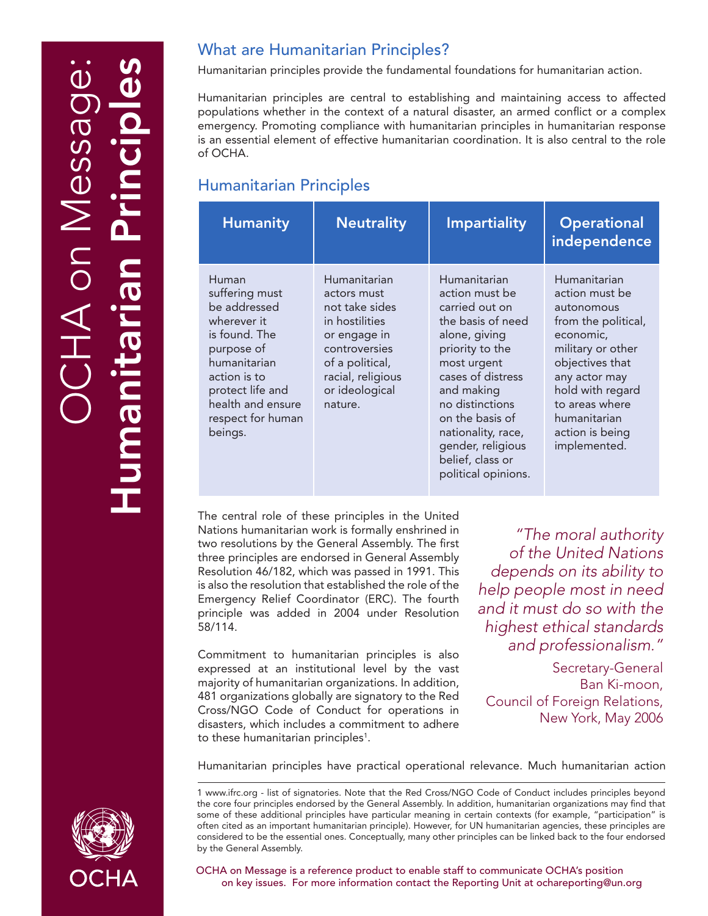# OCHA on Message: Humanitarian Principles HA on Mes

# What are Humanitarian Principles?

Humanitarian principles provide the fundamental foundations for humanitarian action.

Humanitarian principles are central to establishing and maintaining access to affected populations whether in the context of a natural disaster, an armed conflict or a complex emergency. Promoting compliance with humanitarian principles in humanitarian response is an essential element of effective humanitarian coordination. It is also central to the role of OCHA.

# Humanitarian Principles

| <b>Humanity</b>                                                                                                                                                                                | <b>Neutrality</b>                                                                                                                                                     | <b>Impartiality</b>                                                                                                                                                                                                                                                                     | <b>Operational</b><br>independence                                                                                                                                                                                                 |
|------------------------------------------------------------------------------------------------------------------------------------------------------------------------------------------------|-----------------------------------------------------------------------------------------------------------------------------------------------------------------------|-----------------------------------------------------------------------------------------------------------------------------------------------------------------------------------------------------------------------------------------------------------------------------------------|------------------------------------------------------------------------------------------------------------------------------------------------------------------------------------------------------------------------------------|
| Human<br>suffering must<br>be addressed<br>wherever it<br>is found. The<br>purpose of<br>humanitarian<br>action is to<br>protect life and<br>health and ensure<br>respect for human<br>beings. | Humanitarian<br>actors must<br>not take sides<br>in hostilities<br>or engage in<br>controversies<br>of a political,<br>racial, religious<br>or ideological<br>nature. | Humanitarian<br>action must be<br>carried out on<br>the basis of need<br>alone, giving<br>priority to the<br>most urgent<br>cases of distress<br>and making<br>no distinctions<br>on the basis of<br>nationality, race,<br>gender, religious<br>belief, class or<br>political opinions. | Humanitarian<br>action must be<br>autonomous<br>from the political,<br>economic,<br>military or other<br>objectives that<br>any actor may<br>hold with regard<br>to areas where<br>humanitarian<br>action is being<br>implemented. |

The central role of these principles in the United Nations humanitarian work is formally enshrined in two resolutions by the General Assembly. The first three principles are endorsed in General Assembly Resolution 46/182, which was passed in 1991. This is also the resolution that established the role of the Emergency Relief Coordinator (ERC). The fourth principle was added in 2004 under Resolution 58/114.

Commitment to humanitarian principles is also expressed at an institutional level by the vast majority of humanitarian organizations. In addition, 481 organizations globally are signatory to the Red Cross/NGO Code of Conduct for operations in disasters, which includes a commitment to adhere to these humanitarian principles<sup>1</sup>.

*"The moral authority of the United Nations depends on its ability to help people most in need and it must do so with the highest ethical standards and professionalism."*

Secretary-General Ban Ki-moon, Council of Foreign Relations, New York, May 2006

Humanitarian principles have practical operational relevance. Much humanitarian action

1 www.ifrc.org - list of signatories. Note that the Red Cross/NGO Code of Conduct includes principles beyond the core four principles endorsed by the General Assembly. In addition, humanitarian organizations may find that some of these additional principles have particular meaning in certain contexts (for example, "participation" is often cited as an important humanitarian principle). However, for UN humanitarian agencies, these principles are considered to be the essential ones. Conceptually, many other principles can be linked back to the four endorsed by the General Assembly.



OCHA on Message is a reference product to enable staff to communicate OCHA's position on key issues. For more information contact the Reporting Unit at ochareporting@un.org